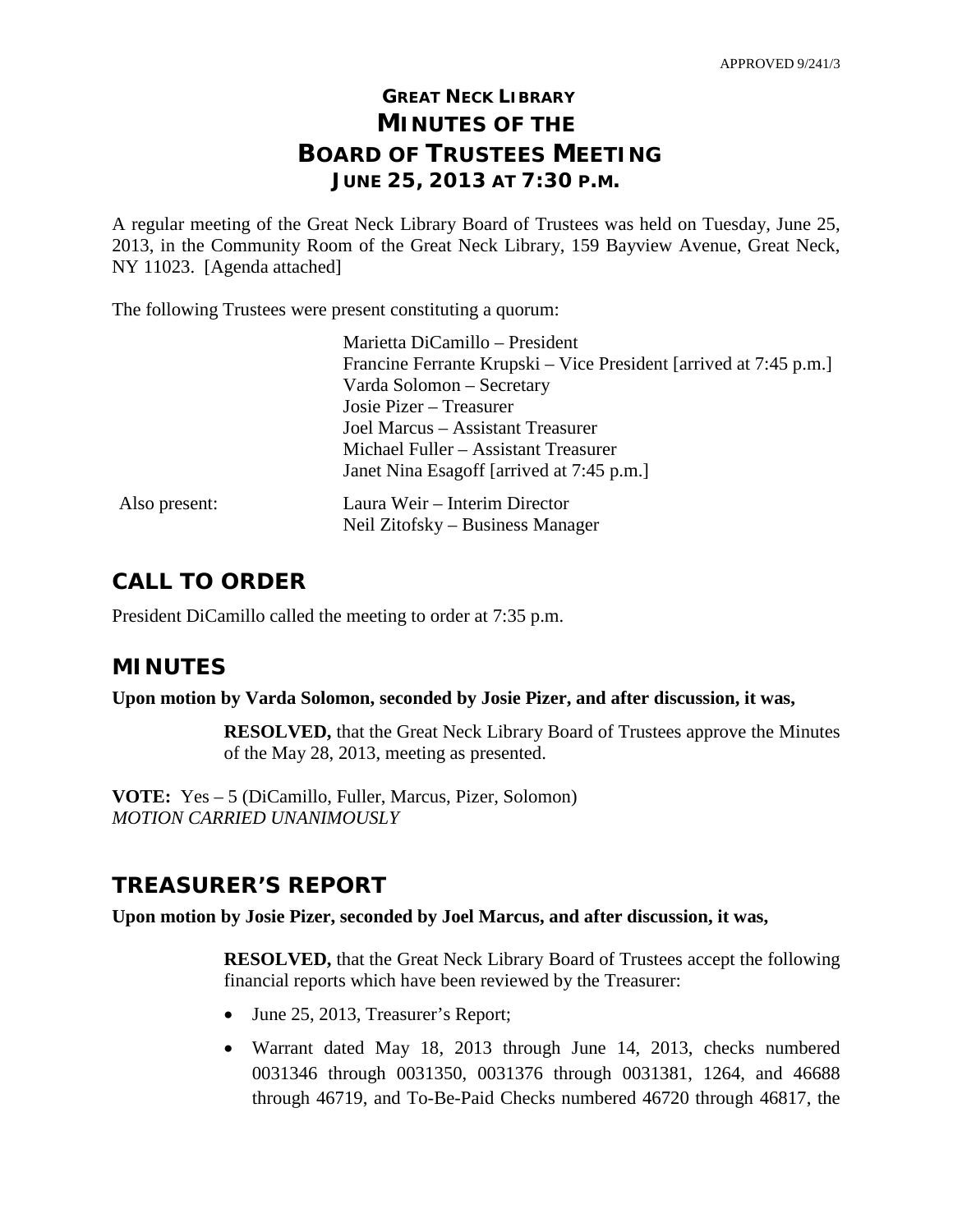# **GREAT NECK LIBRARY MINUTES OF THE BOARD OF TRUSTEES MEETING JUNE 25, 2013 AT 7:30 P.M.**

A regular meeting of the Great Neck Library Board of Trustees was held on Tuesday, June 25, 2013, in the Community Room of the Great Neck Library, 159 Bayview Avenue, Great Neck, NY 11023. [Agenda attached]

The following Trustees were present constituting a quorum:

|               | Marietta DiCamillo – President                                    |
|---------------|-------------------------------------------------------------------|
|               | Francine Ferrante Krupski – Vice President [arrived at 7:45 p.m.] |
|               | Varda Solomon – Secretary                                         |
|               | Josie Pizer – Treasurer                                           |
|               | Joel Marcus - Assistant Treasurer                                 |
|               | Michael Fuller – Assistant Treasurer                              |
|               | Janet Nina Esagoff [arrived at 7:45 p.m.]                         |
| Also present: | Laura Weir - Interim Director<br>Neil Zitofsky – Business Manager |
|               |                                                                   |

## **CALL TO ORDER**

President DiCamillo called the meeting to order at 7:35 p.m.

## **MINUTES**

**Upon motion by Varda Solomon, seconded by Josie Pizer, and after discussion, it was,**

**RESOLVED,** that the Great Neck Library Board of Trustees approve the Minutes of the May 28, 2013, meeting as presented.

**VOTE:** Yes – 5 (DiCamillo, Fuller, Marcus, Pizer, Solomon) *MOTION CARRIED UNANIMOUSLY* 

## **TREASURER'S REPORT**

**Upon motion by Josie Pizer, seconded by Joel Marcus, and after discussion, it was,**

**RESOLVED,** that the Great Neck Library Board of Trustees accept the following financial reports which have been reviewed by the Treasurer:

- June 25, 2013, Treasurer's Report;
- Warrant dated May 18, 2013 through June 14, 2013, checks numbered 0031346 through 0031350, 0031376 through 0031381, 1264, and 46688 through 46719, and To-Be-Paid Checks numbered 46720 through 46817, the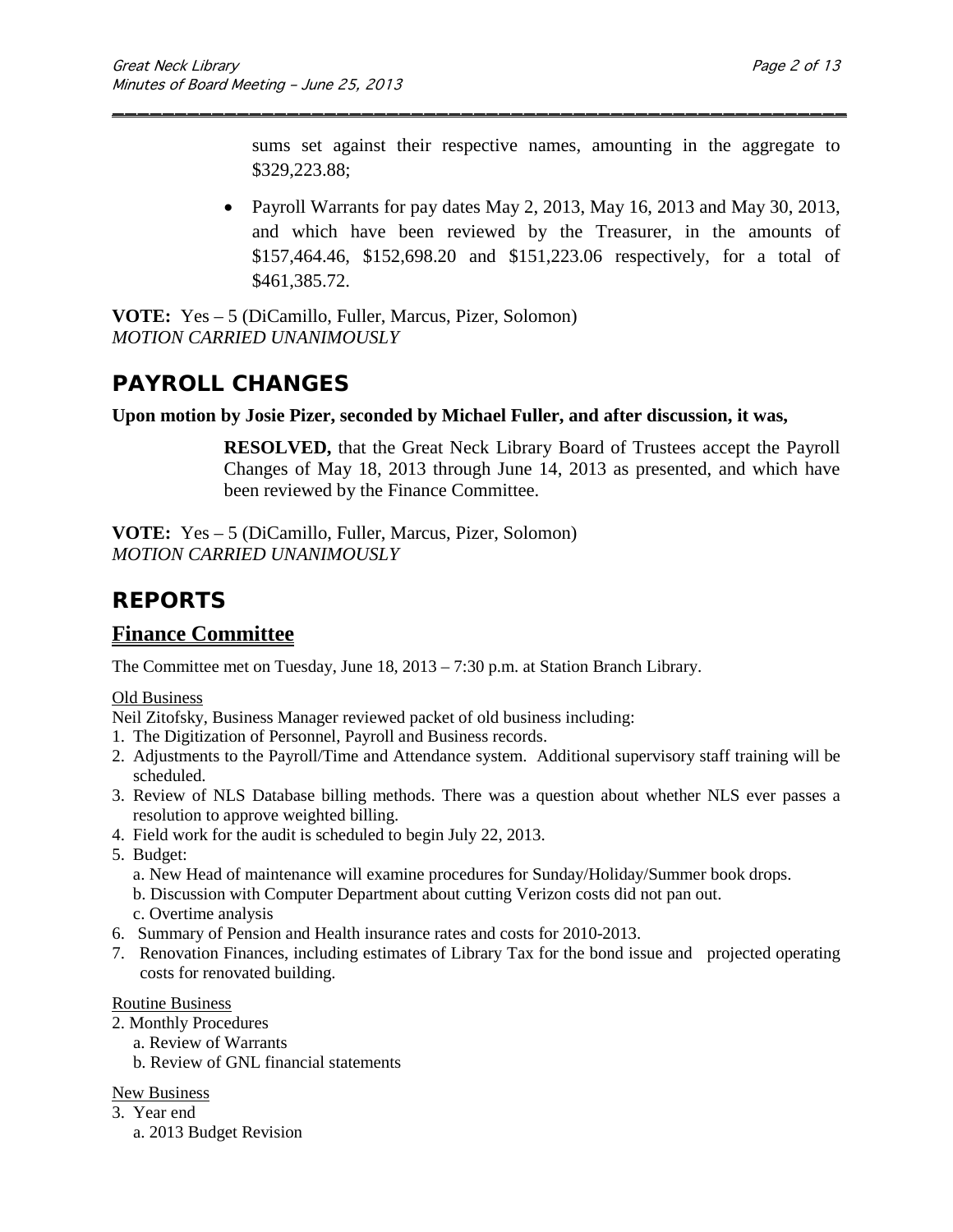sums set against their respective names, amounting in the aggregate to \$329,223.88;

\_\_\_\_\_\_\_\_\_\_\_\_\_\_\_\_\_\_\_\_\_\_\_\_\_\_\_\_\_\_\_\_\_\_\_\_\_\_\_\_\_\_\_\_\_\_\_\_\_\_\_\_\_\_\_\_\_\_\_

• Payroll Warrants for pay dates May 2, 2013, May 16, 2013 and May 30, 2013, and which have been reviewed by the Treasurer, in the amounts of \$157,464.46, \$152,698.20 and \$151,223.06 respectively, for a total of \$461,385.72.

**VOTE:** Yes – 5 (DiCamillo, Fuller, Marcus, Pizer, Solomon) *MOTION CARRIED UNANIMOUSLY*

# **PAYROLL CHANGES**

**Upon motion by Josie Pizer, seconded by Michael Fuller, and after discussion, it was,**

**RESOLVED,** that the Great Neck Library Board of Trustees accept the Payroll Changes of May 18, 2013 through June 14, 2013 as presented, and which have been reviewed by the Finance Committee.

**VOTE:** Yes – 5 (DiCamillo, Fuller, Marcus, Pizer, Solomon) *MOTION CARRIED UNANIMOUSLY*

# **REPORTS**

## **Finance Committee**

The Committee met on Tuesday, June 18, 2013 – 7:30 p.m. at Station Branch Library.

Old Business

Neil Zitofsky, Business Manager reviewed packet of old business including:

- 1. The Digitization of Personnel, Payroll and Business records.
- 2. Adjustments to the Payroll/Time and Attendance system. Additional supervisory staff training will be scheduled.
- 3. Review of NLS Database billing methods. There was a question about whether NLS ever passes a resolution to approve weighted billing.
- 4. Field work for the audit is scheduled to begin July 22, 2013.
- 5. Budget:
	- a. New Head of maintenance will examine procedures for Sunday/Holiday/Summer book drops.
	- b. Discussion with Computer Department about cutting Verizon costs did not pan out.
	- c. Overtime analysis
- 6. Summary of Pension and Health insurance rates and costs for 2010-2013.
- 7. Renovation Finances, including estimates of Library Tax for the bond issue and projected operating costs for renovated building.

#### Routine Business

- 2. Monthly Procedures
	- a. Review of Warrants
	- b. Review of GNL financial statements

#### New Business

- 3. Year end
	- a. 2013 Budget Revision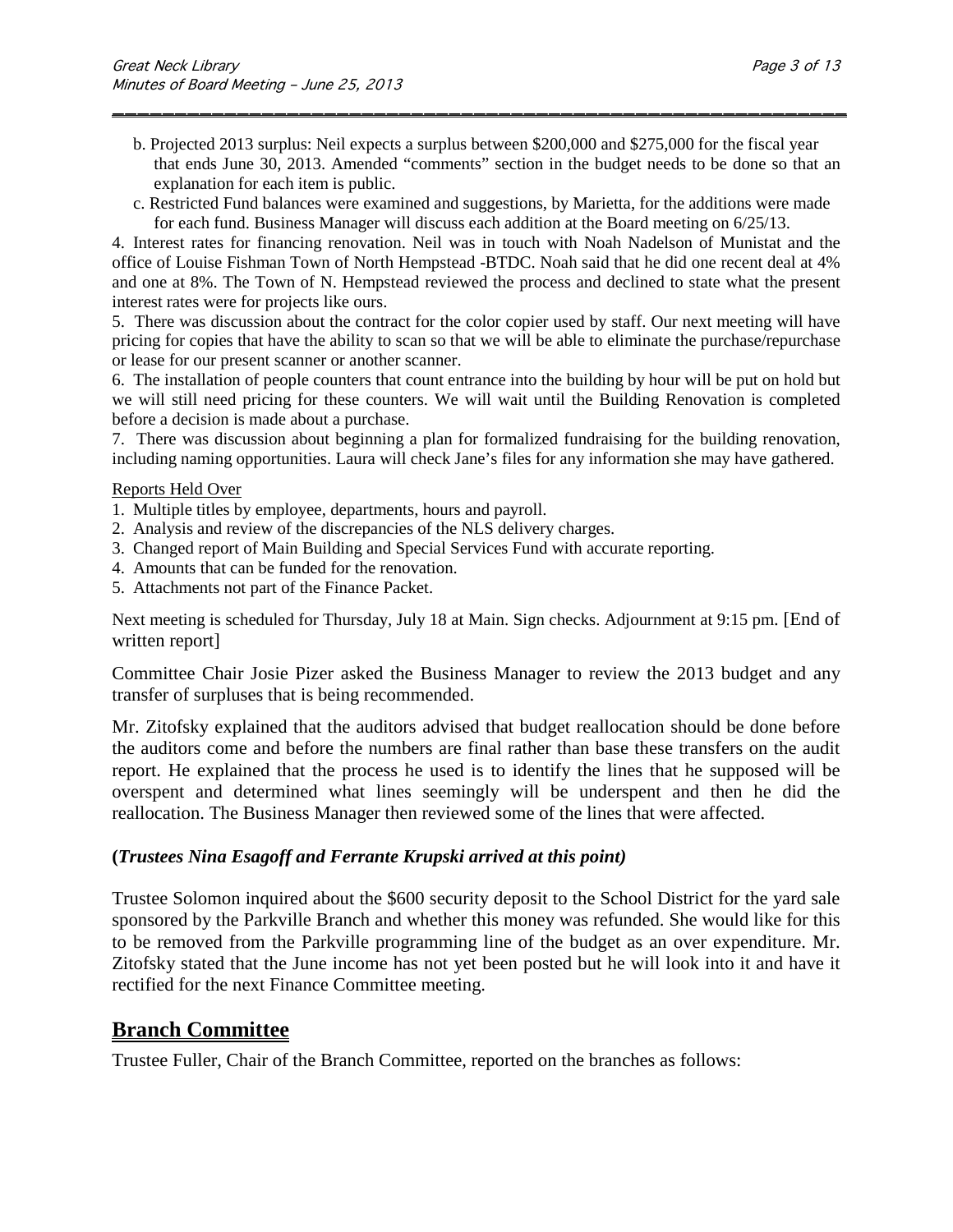b. Projected 2013 surplus: Neil expects a surplus between \$200,000 and \$275,000 for the fiscal year that ends June 30, 2013. Amended "comments" section in the budget needs to be done so that an explanation for each item is public.

\_\_\_\_\_\_\_\_\_\_\_\_\_\_\_\_\_\_\_\_\_\_\_\_\_\_\_\_\_\_\_\_\_\_\_\_\_\_\_\_\_\_\_\_\_\_\_\_\_\_\_\_\_\_\_\_\_\_\_

c. Restricted Fund balances were examined and suggestions, by Marietta, for the additions were made for each fund. Business Manager will discuss each addition at the Board meeting on 6/25/13.

4. Interest rates for financing renovation. Neil was in touch with Noah Nadelson of Munistat and the office of Louise Fishman Town of North Hempstead -BTDC. Noah said that he did one recent deal at 4% and one at 8%. The Town of N. Hempstead reviewed the process and declined to state what the present interest rates were for projects like ours.

5. There was discussion about the contract for the color copier used by staff. Our next meeting will have pricing for copies that have the ability to scan so that we will be able to eliminate the purchase/repurchase or lease for our present scanner or another scanner.

6. The installation of people counters that count entrance into the building by hour will be put on hold but we will still need pricing for these counters. We will wait until the Building Renovation is completed before a decision is made about a purchase.

7. There was discussion about beginning a plan for formalized fundraising for the building renovation, including naming opportunities. Laura will check Jane's files for any information she may have gathered.

#### Reports Held Over

- 1. Multiple titles by employee, departments, hours and payroll.
- 2. Analysis and review of the discrepancies of the NLS delivery charges.
- 3. Changed report of Main Building and Special Services Fund with accurate reporting.
- 4. Amounts that can be funded for the renovation.
- 5. Attachments not part of the Finance Packet.

Next meeting is scheduled for Thursday, July 18 at Main. Sign checks. Adjournment at 9:15 pm. [End of written report]

Committee Chair Josie Pizer asked the Business Manager to review the 2013 budget and any transfer of surpluses that is being recommended.

Mr. Zitofsky explained that the auditors advised that budget reallocation should be done before the auditors come and before the numbers are final rather than base these transfers on the audit report. He explained that the process he used is to identify the lines that he supposed will be overspent and determined what lines seemingly will be underspent and then he did the reallocation. The Business Manager then reviewed some of the lines that were affected.

### **(***Trustees Nina Esagoff and Ferrante Krupski arrived at this point)*

Trustee Solomon inquired about the \$600 security deposit to the School District for the yard sale sponsored by the Parkville Branch and whether this money was refunded. She would like for this to be removed from the Parkville programming line of the budget as an over expenditure. Mr. Zitofsky stated that the June income has not yet been posted but he will look into it and have it rectified for the next Finance Committee meeting.

### **Branch Committee**

Trustee Fuller, Chair of the Branch Committee, reported on the branches as follows: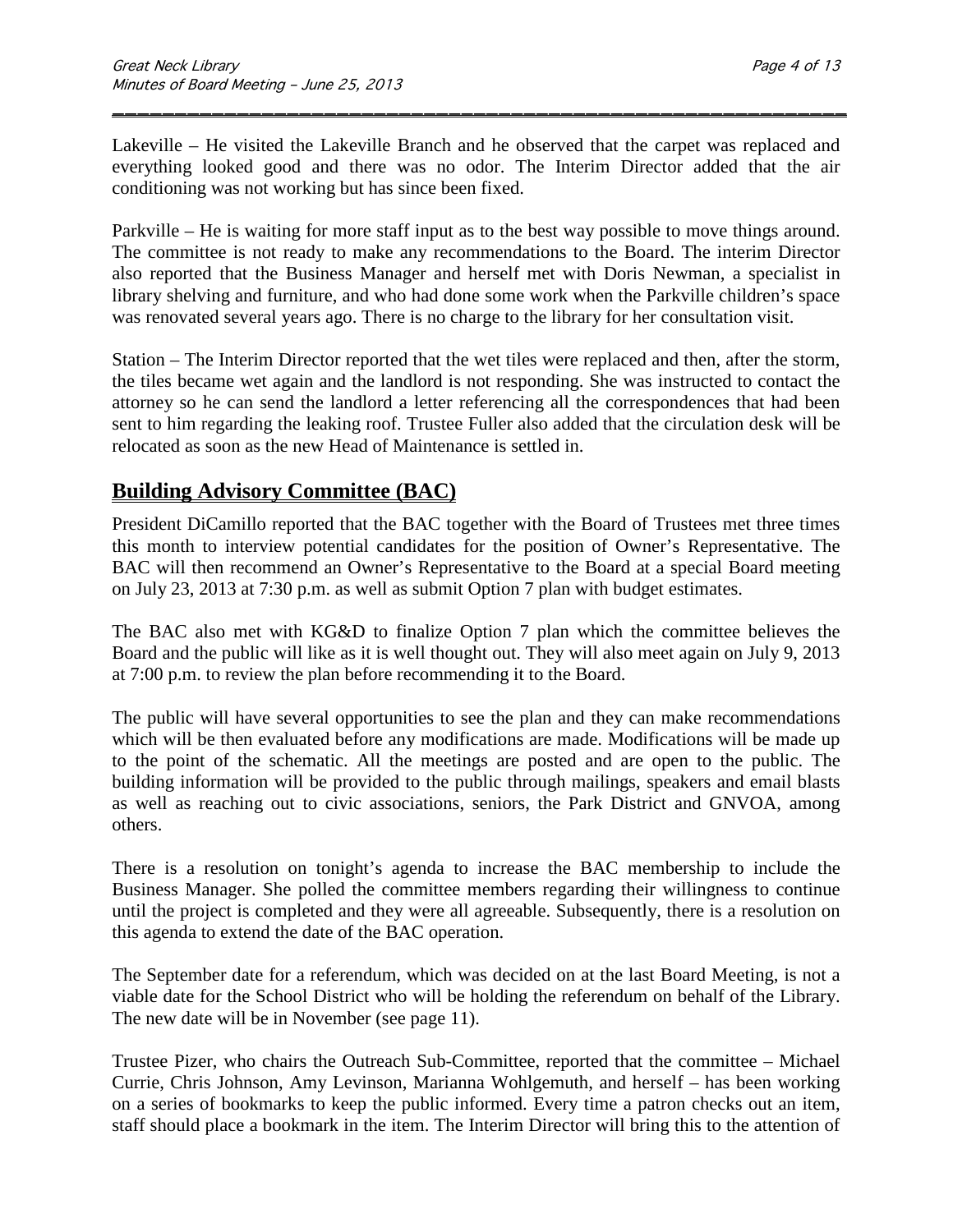Lakeville – He visited the Lakeville Branch and he observed that the carpet was replaced and everything looked good and there was no odor. The Interim Director added that the air conditioning was not working but has since been fixed.

\_\_\_\_\_\_\_\_\_\_\_\_\_\_\_\_\_\_\_\_\_\_\_\_\_\_\_\_\_\_\_\_\_\_\_\_\_\_\_\_\_\_\_\_\_\_\_\_\_\_\_\_\_\_\_\_\_\_\_

Parkville – He is waiting for more staff input as to the best way possible to move things around. The committee is not ready to make any recommendations to the Board. The interim Director also reported that the Business Manager and herself met with Doris Newman, a specialist in library shelving and furniture, and who had done some work when the Parkville children's space was renovated several years ago. There is no charge to the library for her consultation visit.

Station – The Interim Director reported that the wet tiles were replaced and then, after the storm, the tiles became wet again and the landlord is not responding. She was instructed to contact the attorney so he can send the landlord a letter referencing all the correspondences that had been sent to him regarding the leaking roof. Trustee Fuller also added that the circulation desk will be relocated as soon as the new Head of Maintenance is settled in.

## **Building Advisory Committee (BAC)**

President DiCamillo reported that the BAC together with the Board of Trustees met three times this month to interview potential candidates for the position of Owner's Representative. The BAC will then recommend an Owner's Representative to the Board at a special Board meeting on July 23, 2013 at 7:30 p.m. as well as submit Option 7 plan with budget estimates.

The BAC also met with KG&D to finalize Option 7 plan which the committee believes the Board and the public will like as it is well thought out. They will also meet again on July 9, 2013 at 7:00 p.m. to review the plan before recommending it to the Board.

The public will have several opportunities to see the plan and they can make recommendations which will be then evaluated before any modifications are made. Modifications will be made up to the point of the schematic. All the meetings are posted and are open to the public. The building information will be provided to the public through mailings, speakers and email blasts as well as reaching out to civic associations, seniors, the Park District and GNVOA, among others.

There is a resolution on tonight's agenda to increase the BAC membership to include the Business Manager. She polled the committee members regarding their willingness to continue until the project is completed and they were all agreeable. Subsequently, there is a resolution on this agenda to extend the date of the BAC operation.

The September date for a referendum, which was decided on at the last Board Meeting, is not a viable date for the School District who will be holding the referendum on behalf of the Library. The new date will be in November (see page 11).

Trustee Pizer, who chairs the Outreach Sub-Committee, reported that the committee – Michael Currie, Chris Johnson, Amy Levinson, Marianna Wohlgemuth, and herself – has been working on a series of bookmarks to keep the public informed. Every time a patron checks out an item, staff should place a bookmark in the item. The Interim Director will bring this to the attention of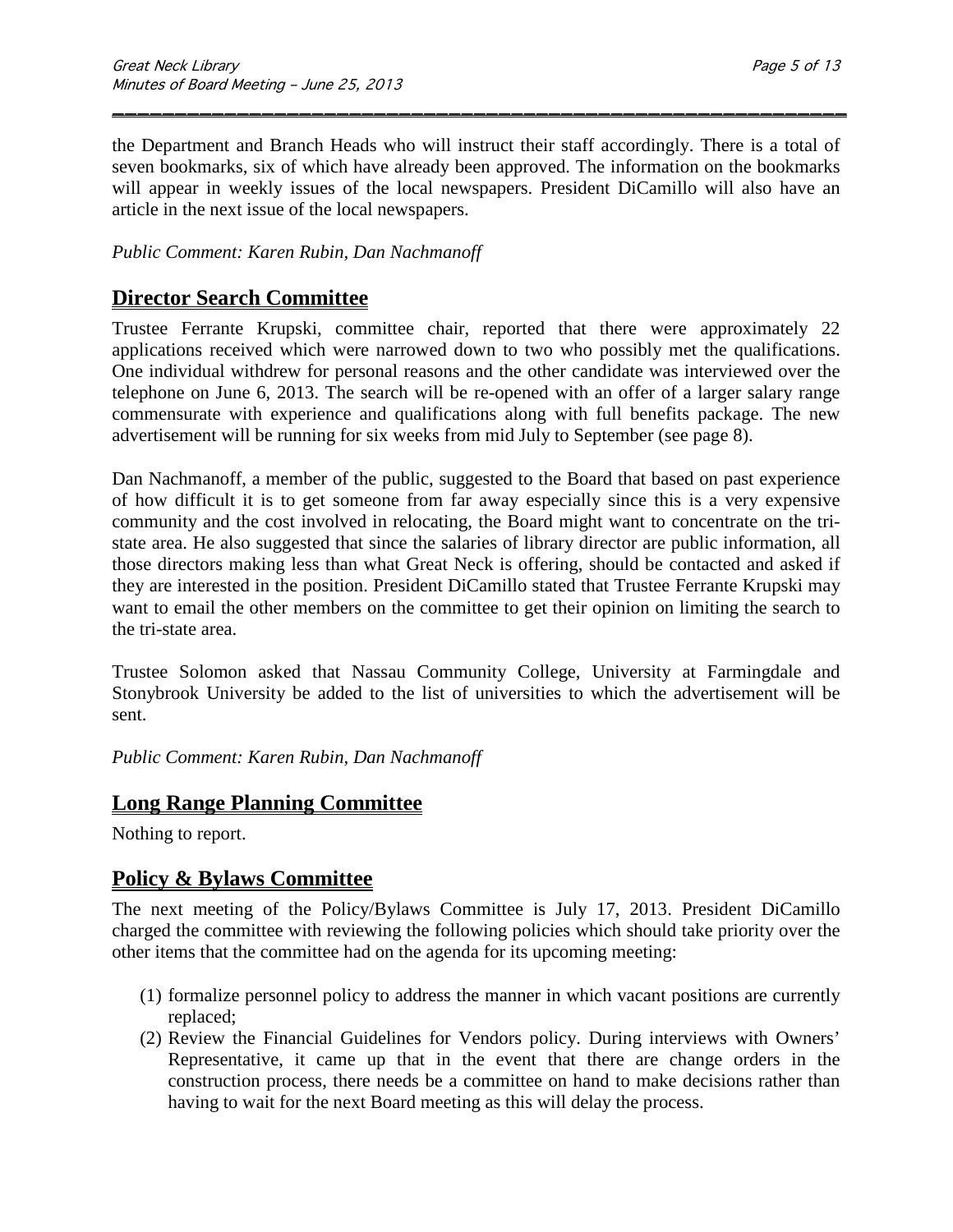the Department and Branch Heads who will instruct their staff accordingly. There is a total of seven bookmarks, six of which have already been approved. The information on the bookmarks will appear in weekly issues of the local newspapers. President DiCamillo will also have an article in the next issue of the local newspapers.

\_\_\_\_\_\_\_\_\_\_\_\_\_\_\_\_\_\_\_\_\_\_\_\_\_\_\_\_\_\_\_\_\_\_\_\_\_\_\_\_\_\_\_\_\_\_\_\_\_\_\_\_\_\_\_\_\_\_\_

### *Public Comment: Karen Rubin, Dan Nachmanoff*

## **Director Search Committee**

Trustee Ferrante Krupski, committee chair, reported that there were approximately 22 applications received which were narrowed down to two who possibly met the qualifications. One individual withdrew for personal reasons and the other candidate was interviewed over the telephone on June 6, 2013. The search will be re-opened with an offer of a larger salary range commensurate with experience and qualifications along with full benefits package. The new advertisement will be running for six weeks from mid July to September (see page 8).

Dan Nachmanoff, a member of the public, suggested to the Board that based on past experience of how difficult it is to get someone from far away especially since this is a very expensive community and the cost involved in relocating, the Board might want to concentrate on the tristate area. He also suggested that since the salaries of library director are public information, all those directors making less than what Great Neck is offering, should be contacted and asked if they are interested in the position. President DiCamillo stated that Trustee Ferrante Krupski may want to email the other members on the committee to get their opinion on limiting the search to the tri-state area.

Trustee Solomon asked that Nassau Community College, University at Farmingdale and Stonybrook University be added to the list of universities to which the advertisement will be sent.

*Public Comment: Karen Rubin, Dan Nachmanoff*

### **Long Range Planning Committee**

Nothing to report.

## **Policy & Bylaws Committee**

The next meeting of the Policy/Bylaws Committee is July 17, 2013. President DiCamillo charged the committee with reviewing the following policies which should take priority over the other items that the committee had on the agenda for its upcoming meeting:

- (1) formalize personnel policy to address the manner in which vacant positions are currently replaced;
- (2) Review the Financial Guidelines for Vendors policy. During interviews with Owners' Representative, it came up that in the event that there are change orders in the construction process, there needs be a committee on hand to make decisions rather than having to wait for the next Board meeting as this will delay the process.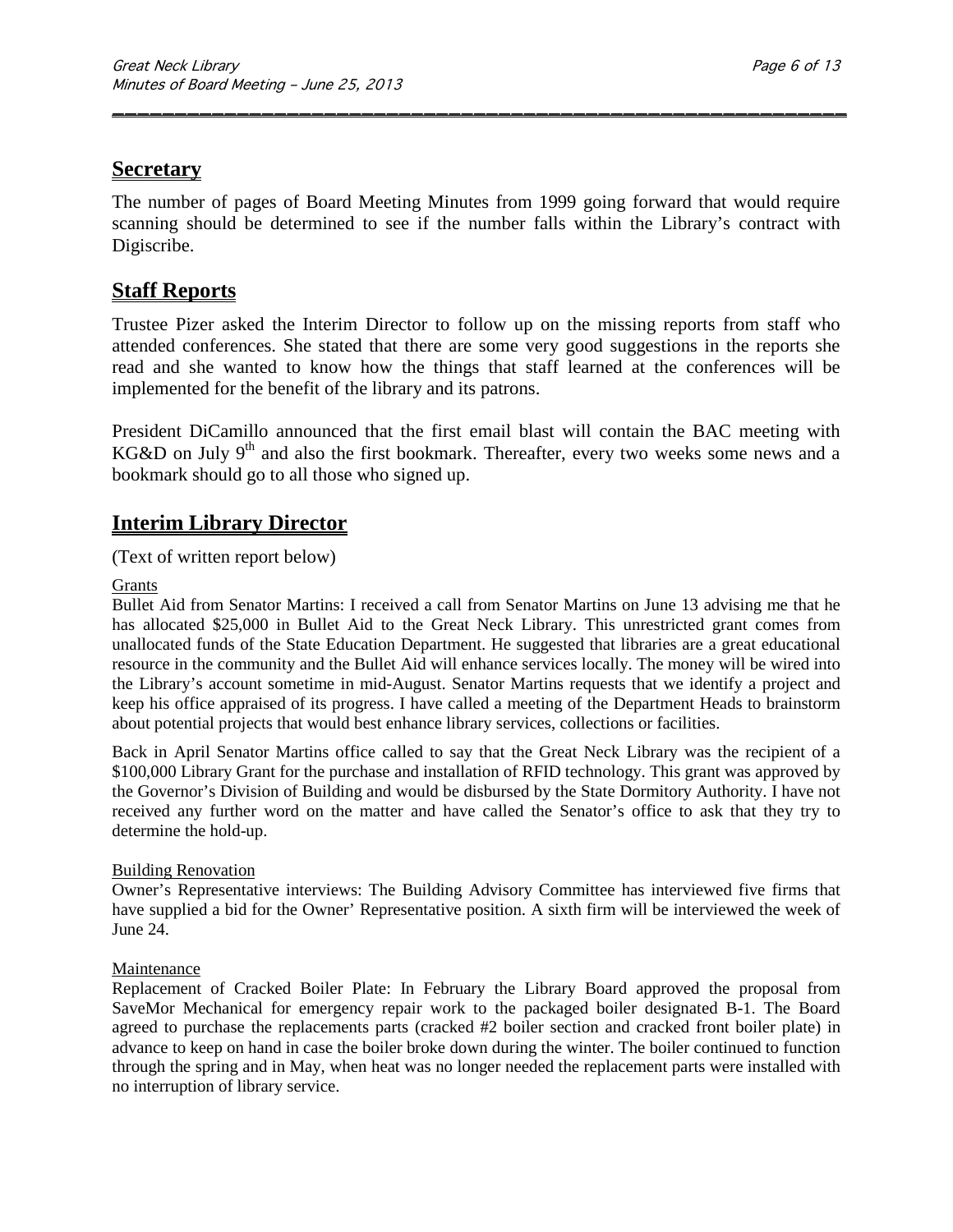### **Secretary**

The number of pages of Board Meeting Minutes from 1999 going forward that would require scanning should be determined to see if the number falls within the Library's contract with Digiscribe.

\_\_\_\_\_\_\_\_\_\_\_\_\_\_\_\_\_\_\_\_\_\_\_\_\_\_\_\_\_\_\_\_\_\_\_\_\_\_\_\_\_\_\_\_\_\_\_\_\_\_\_\_\_\_\_\_\_\_\_

## **Staff Reports**

Trustee Pizer asked the Interim Director to follow up on the missing reports from staff who attended conferences. She stated that there are some very good suggestions in the reports she read and she wanted to know how the things that staff learned at the conferences will be implemented for the benefit of the library and its patrons.

President DiCamillo announced that the first email blast will contain the BAC meeting with KG&D on July  $9<sup>th</sup>$  and also the first bookmark. Thereafter, every two weeks some news and a bookmark should go to all those who signed up.

## **Interim Library Director**

(Text of written report below)

Grants

Bullet Aid from Senator Martins: I received a call from Senator Martins on June 13 advising me that he has allocated \$25,000 in Bullet Aid to the Great Neck Library. This unrestricted grant comes from unallocated funds of the State Education Department. He suggested that libraries are a great educational resource in the community and the Bullet Aid will enhance services locally. The money will be wired into the Library's account sometime in mid-August. Senator Martins requests that we identify a project and keep his office appraised of its progress. I have called a meeting of the Department Heads to brainstorm about potential projects that would best enhance library services, collections or facilities.

Back in April Senator Martins office called to say that the Great Neck Library was the recipient of a \$100,000 Library Grant for the purchase and installation of RFID technology. This grant was approved by the Governor's Division of Building and would be disbursed by the State Dormitory Authority. I have not received any further word on the matter and have called the Senator's office to ask that they try to determine the hold-up.

### Building Renovation

Owner's Representative interviews: The Building Advisory Committee has interviewed five firms that have supplied a bid for the Owner' Representative position. A sixth firm will be interviewed the week of June 24.

#### Maintenance

Replacement of Cracked Boiler Plate: In February the Library Board approved the proposal from SaveMor Mechanical for emergency repair work to the packaged boiler designated B-1. The Board agreed to purchase the replacements parts (cracked #2 boiler section and cracked front boiler plate) in advance to keep on hand in case the boiler broke down during the winter. The boiler continued to function through the spring and in May, when heat was no longer needed the replacement parts were installed with no interruption of library service.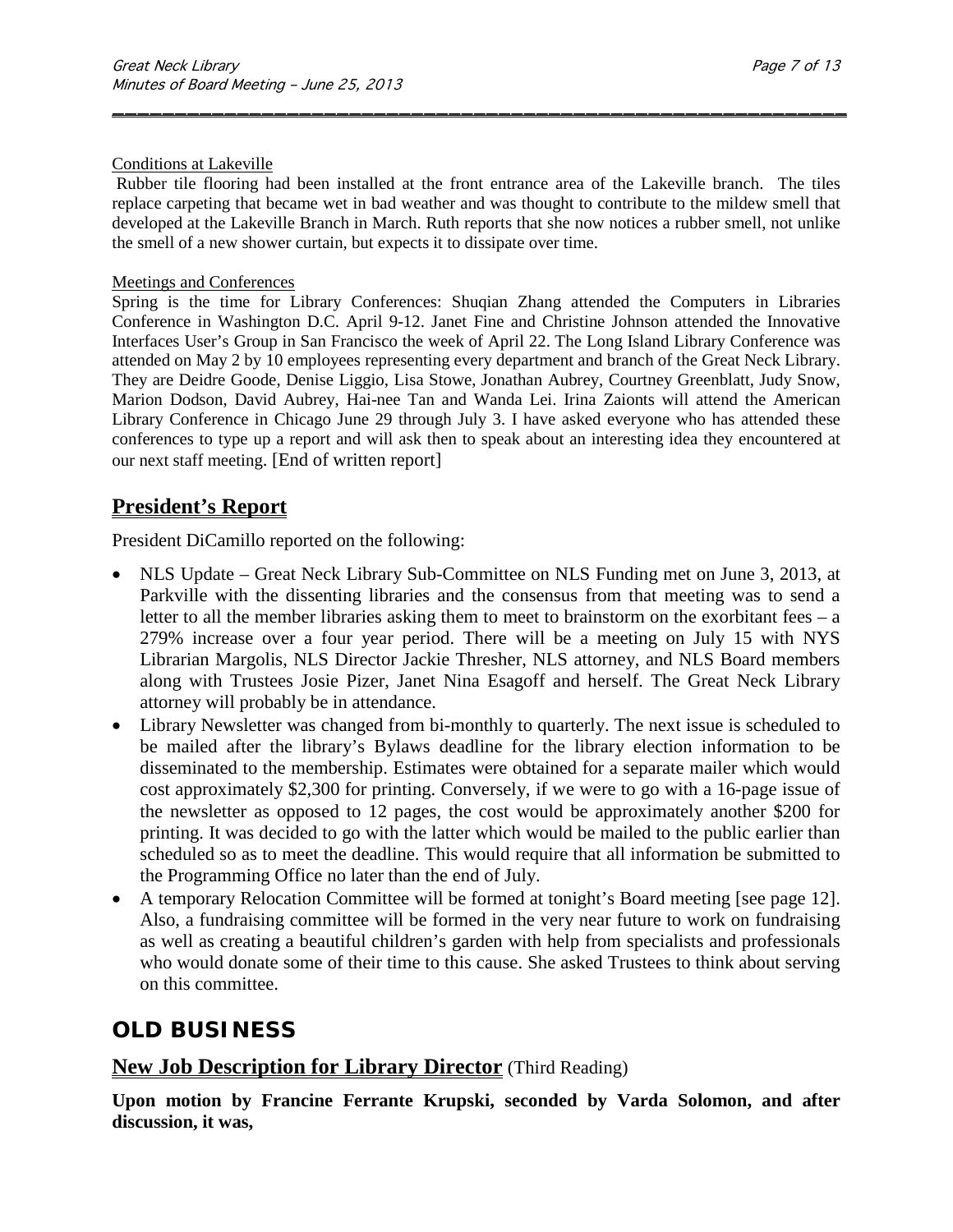#### Conditions at Lakeville

Rubber tile flooring had been installed at the front entrance area of the Lakeville branch. The tiles replace carpeting that became wet in bad weather and was thought to contribute to the mildew smell that developed at the Lakeville Branch in March. Ruth reports that she now notices a rubber smell, not unlike the smell of a new shower curtain, but expects it to dissipate over time.

\_\_\_\_\_\_\_\_\_\_\_\_\_\_\_\_\_\_\_\_\_\_\_\_\_\_\_\_\_\_\_\_\_\_\_\_\_\_\_\_\_\_\_\_\_\_\_\_\_\_\_\_\_\_\_\_\_\_\_

#### Meetings and Conferences

Spring is the time for Library Conferences: Shuqian Zhang attended the Computers in Libraries Conference in Washington D.C. April 9-12. Janet Fine and Christine Johnson attended the Innovative Interfaces User's Group in San Francisco the week of April 22. The Long Island Library Conference was attended on May 2 by 10 employees representing every department and branch of the Great Neck Library. They are Deidre Goode, Denise Liggio, Lisa Stowe, Jonathan Aubrey, Courtney Greenblatt, Judy Snow, Marion Dodson, David Aubrey, Hai-nee Tan and Wanda Lei. Irina Zaionts will attend the American Library Conference in Chicago June 29 through July 3. I have asked everyone who has attended these conferences to type up a report and will ask then to speak about an interesting idea they encountered at our next staff meeting. [End of written report]

## **President's Report**

President DiCamillo reported on the following:

- NLS Update Great Neck Library Sub-Committee on NLS Funding met on June 3, 2013, at Parkville with the dissenting libraries and the consensus from that meeting was to send a letter to all the member libraries asking them to meet to brainstorm on the exorbitant fees – a 279% increase over a four year period. There will be a meeting on July 15 with NYS Librarian Margolis, NLS Director Jackie Thresher, NLS attorney, and NLS Board members along with Trustees Josie Pizer, Janet Nina Esagoff and herself. The Great Neck Library attorney will probably be in attendance.
- Library Newsletter was changed from bi-monthly to quarterly. The next issue is scheduled to be mailed after the library's Bylaws deadline for the library election information to be disseminated to the membership. Estimates were obtained for a separate mailer which would cost approximately \$2,300 for printing. Conversely, if we were to go with a 16-page issue of the newsletter as opposed to 12 pages, the cost would be approximately another \$200 for printing. It was decided to go with the latter which would be mailed to the public earlier than scheduled so as to meet the deadline. This would require that all information be submitted to the Programming Office no later than the end of July.
- A temporary Relocation Committee will be formed at tonight's Board meeting [see page 12]. Also, a fundraising committee will be formed in the very near future to work on fundraising as well as creating a beautiful children's garden with help from specialists and professionals who would donate some of their time to this cause. She asked Trustees to think about serving on this committee.

## **OLD BUSINESS**

### **New Job Description for Library Director** (Third Reading)

**Upon motion by Francine Ferrante Krupski, seconded by Varda Solomon, and after discussion, it was,**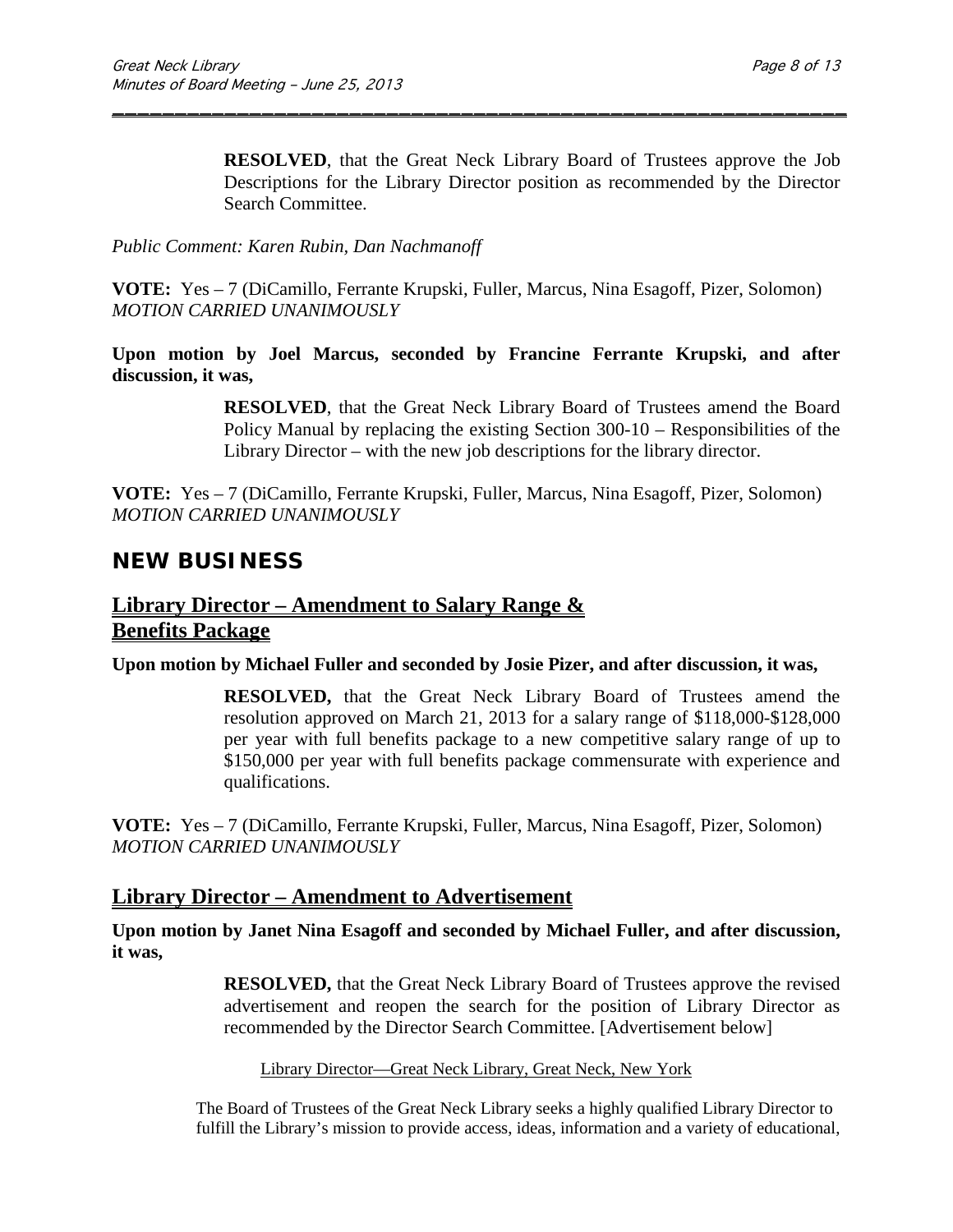**RESOLVED**, that the Great Neck Library Board of Trustees approve the Job Descriptions for the Library Director position as recommended by the Director Search Committee.

*Public Comment: Karen Rubin, Dan Nachmanoff*

**VOTE:** Yes – 7 (DiCamillo, Ferrante Krupski, Fuller, Marcus, Nina Esagoff, Pizer, Solomon) *MOTION CARRIED UNANIMOUSLY*

\_\_\_\_\_\_\_\_\_\_\_\_\_\_\_\_\_\_\_\_\_\_\_\_\_\_\_\_\_\_\_\_\_\_\_\_\_\_\_\_\_\_\_\_\_\_\_\_\_\_\_\_\_\_\_\_\_\_\_

**Upon motion by Joel Marcus, seconded by Francine Ferrante Krupski, and after discussion, it was,**

> **RESOLVED**, that the Great Neck Library Board of Trustees amend the Board Policy Manual by replacing the existing Section 300-10 – Responsibilities of the Library Director – with the new job descriptions for the library director.

**VOTE:** Yes – 7 (DiCamillo, Ferrante Krupski, Fuller, Marcus, Nina Esagoff, Pizer, Solomon) *MOTION CARRIED UNANIMOUSLY*

## **NEW BUSINESS**

## **Library Director – Amendment to Salary Range & Benefits Package**

**Upon motion by Michael Fuller and seconded by Josie Pizer, and after discussion, it was,**

**RESOLVED,** that the Great Neck Library Board of Trustees amend the resolution approved on March 21, 2013 for a salary range of \$118,000-\$128,000 per year with full benefits package to a new competitive salary range of up to \$150,000 per year with full benefits package commensurate with experience and qualifications.

**VOTE:** Yes – 7 (DiCamillo, Ferrante Krupski, Fuller, Marcus, Nina Esagoff, Pizer, Solomon) *MOTION CARRIED UNANIMOUSLY*

### **Library Director – Amendment to Advertisement**

**Upon motion by Janet Nina Esagoff and seconded by Michael Fuller, and after discussion, it was,**

> **RESOLVED,** that the Great Neck Library Board of Trustees approve the revised advertisement and reopen the search for the position of Library Director as recommended by the Director Search Committee. [Advertisement below]

Library Director—Great Neck Library, Great Neck, New York

The Board of Trustees of the Great Neck Library seeks a highly qualified Library Director to fulfill the Library's mission to provide access, ideas, information and a variety of educational,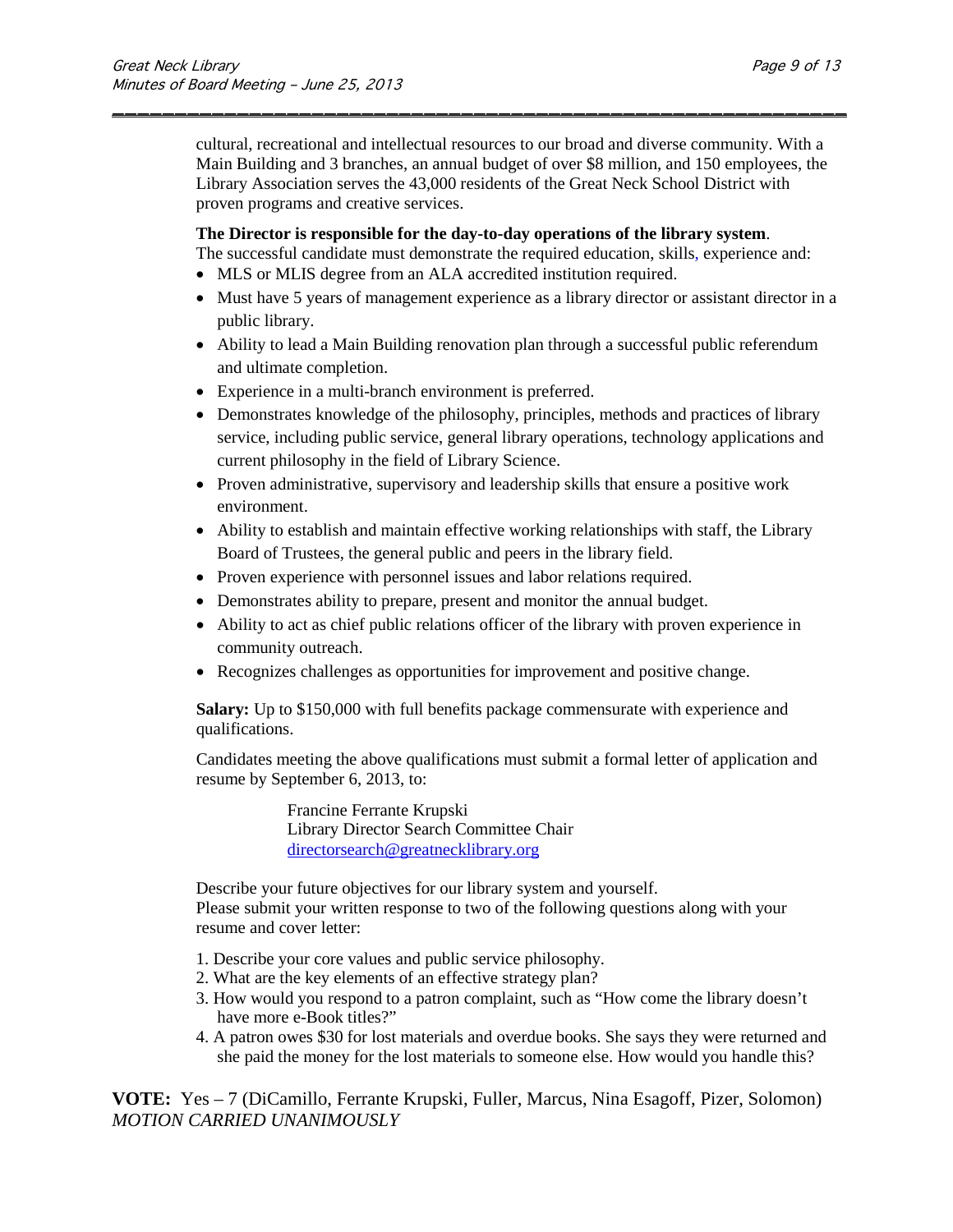cultural, recreational and intellectual resources to our broad and diverse community. With a Main Building and 3 branches, an annual budget of over \$8 million, and 150 employees, the Library Association serves the 43,000 residents of the Great Neck School District with proven programs and creative services.

#### **The Director is responsible for the day-to-day operations of the library system**.

\_\_\_\_\_\_\_\_\_\_\_\_\_\_\_\_\_\_\_\_\_\_\_\_\_\_\_\_\_\_\_\_\_\_\_\_\_\_\_\_\_\_\_\_\_\_\_\_\_\_\_\_\_\_\_\_\_\_\_

The successful candidate must demonstrate the required education, skills, experience and:

- MLS or MLIS degree from an ALA accredited institution required.
- Must have 5 years of management experience as a library director or assistant director in a public library.
- Ability to lead a Main Building renovation plan through a successful public referendum and ultimate completion.
- Experience in a multi-branch environment is preferred.
- Demonstrates knowledge of the philosophy, principles, methods and practices of library service, including public service, general library operations, technology applications and current philosophy in the field of Library Science.
- Proven administrative, supervisory and leadership skills that ensure a positive work environment.
- Ability to establish and maintain effective working relationships with staff, the Library Board of Trustees, the general public and peers in the library field.
- Proven experience with personnel issues and labor relations required.
- Demonstrates ability to prepare, present and monitor the annual budget.
- Ability to act as chief public relations officer of the library with proven experience in community outreach.
- Recognizes challenges as opportunities for improvement and positive change.

**Salary:** Up to \$150,000 with full benefits package commensurate with experience and qualifications.

Candidates meeting the above qualifications must submit a formal letter of application and resume by September 6, 2013, to:

> Francine Ferrante Krupski Library Director Search Committee Chair [directorsearch@greatnecklibrary.org](mailto:directorsearch@greatnecklibrary.org)

Describe your future objectives for our library system and yourself. Please submit your written response to two of the following questions along with your resume and cover letter:

- 1. Describe your core values and public service philosophy.
- 2. What are the key elements of an effective strategy plan?
- 3. How would you respond to a patron complaint, such as "How come the library doesn't have more e-Book titles?"
- 4. A patron owes \$30 for lost materials and overdue books. She says they were returned and she paid the money for the lost materials to someone else. How would you handle this?

**VOTE:** Yes – 7 (DiCamillo, Ferrante Krupski, Fuller, Marcus, Nina Esagoff, Pizer, Solomon) *MOTION CARRIED UNANIMOUSLY*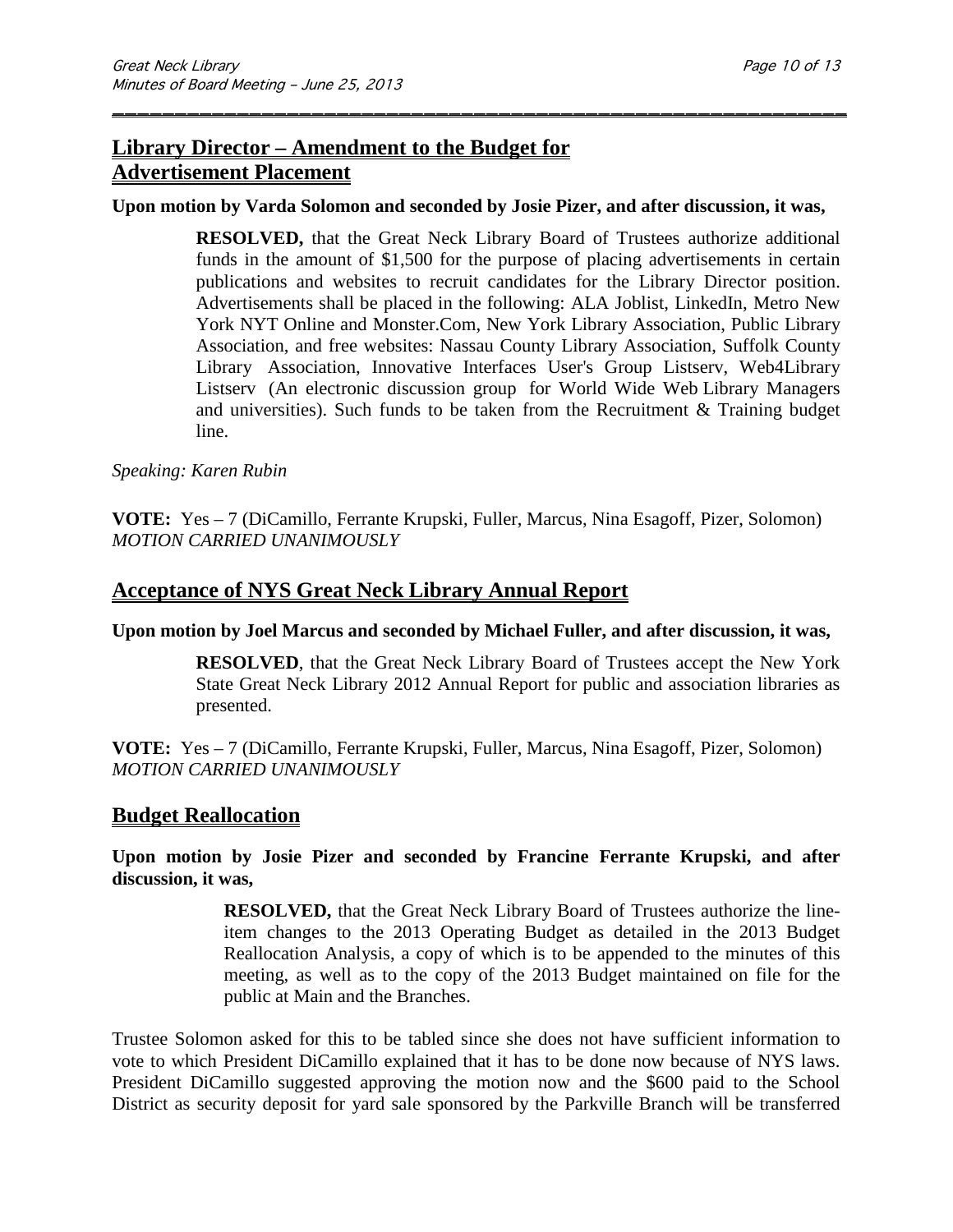## **Library Director – Amendment to the Budget for Advertisement Placement**

#### **Upon motion by Varda Solomon and seconded by Josie Pizer, and after discussion, it was,**

\_\_\_\_\_\_\_\_\_\_\_\_\_\_\_\_\_\_\_\_\_\_\_\_\_\_\_\_\_\_\_\_\_\_\_\_\_\_\_\_\_\_\_\_\_\_\_\_\_\_\_\_\_\_\_\_\_\_\_

**RESOLVED,** that the Great Neck Library Board of Trustees authorize additional funds in the amount of \$1,500 for the purpose of placing advertisements in certain publications and websites to recruit candidates for the Library Director position. Advertisements shall be placed in the following: ALA Joblist, LinkedIn, Metro New York NYT Online and Monster.Com, New York Library Association, Public Library Association, and free websites: Nassau County Library Association, Suffolk County Library Association, Innovative Interfaces User's Group Listserv, Web4Library Listserv (An electronic discussion group for World Wide Web Library Managers and universities). Such funds to be taken from the Recruitment & Training budget line.

### *Speaking: Karen Rubin*

**VOTE:** Yes – 7 (DiCamillo, Ferrante Krupski, Fuller, Marcus, Nina Esagoff, Pizer, Solomon) *MOTION CARRIED UNANIMOUSLY*

### **Acceptance of NYS Great Neck Library Annual Report**

### **Upon motion by Joel Marcus and seconded by Michael Fuller, and after discussion, it was,**

**RESOLVED**, that the Great Neck Library Board of Trustees accept the New York State Great Neck Library 2012 Annual Report for public and association libraries as presented.

**VOTE:** Yes – 7 (DiCamillo, Ferrante Krupski, Fuller, Marcus, Nina Esagoff, Pizer, Solomon) *MOTION CARRIED UNANIMOUSLY*

### **Budget Reallocation**

### **Upon motion by Josie Pizer and seconded by Francine Ferrante Krupski, and after discussion, it was,**

**RESOLVED,** that the Great Neck Library Board of Trustees authorize the lineitem changes to the 2013 Operating Budget as detailed in the 2013 Budget Reallocation Analysis, a copy of which is to be appended to the minutes of this meeting, as well as to the copy of the 2013 Budget maintained on file for the public at Main and the Branches.

Trustee Solomon asked for this to be tabled since she does not have sufficient information to vote to which President DiCamillo explained that it has to be done now because of NYS laws. President DiCamillo suggested approving the motion now and the \$600 paid to the School District as security deposit for yard sale sponsored by the Parkville Branch will be transferred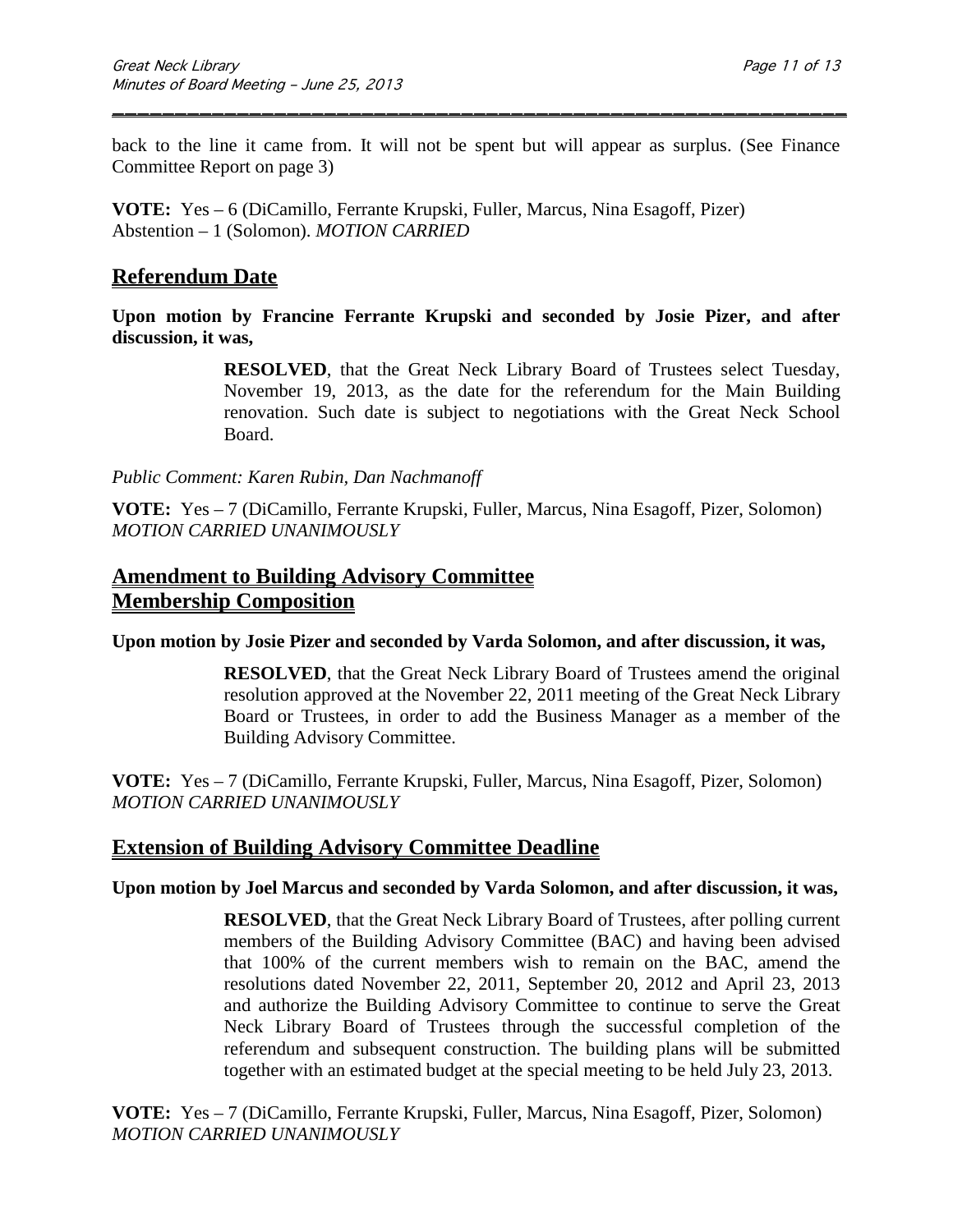back to the line it came from. It will not be spent but will appear as surplus. (See Finance Committee Report on page 3)

\_\_\_\_\_\_\_\_\_\_\_\_\_\_\_\_\_\_\_\_\_\_\_\_\_\_\_\_\_\_\_\_\_\_\_\_\_\_\_\_\_\_\_\_\_\_\_\_\_\_\_\_\_\_\_\_\_\_\_

**VOTE:** Yes – 6 (DiCamillo, Ferrante Krupski, Fuller, Marcus, Nina Esagoff, Pizer) Abstention – 1 (Solomon). *MOTION CARRIED* 

### **Referendum Date**

**Upon motion by Francine Ferrante Krupski and seconded by Josie Pizer, and after discussion, it was,**

> **RESOLVED**, that the Great Neck Library Board of Trustees select Tuesday, November 19, 2013, as the date for the referendum for the Main Building renovation. Such date is subject to negotiations with the Great Neck School Board.

*Public Comment: Karen Rubin, Dan Nachmanoff*

**VOTE:** Yes – 7 (DiCamillo, Ferrante Krupski, Fuller, Marcus, Nina Esagoff, Pizer, Solomon) *MOTION CARRIED UNANIMOUSLY*

## **Amendment to Building Advisory Committee Membership Composition**

**Upon motion by Josie Pizer and seconded by Varda Solomon, and after discussion, it was,**

**RESOLVED**, that the Great Neck Library Board of Trustees amend the original resolution approved at the November 22, 2011 meeting of the Great Neck Library Board or Trustees, in order to add the Business Manager as a member of the Building Advisory Committee.

**VOTE:** Yes – 7 (DiCamillo, Ferrante Krupski, Fuller, Marcus, Nina Esagoff, Pizer, Solomon) *MOTION CARRIED UNANIMOUSLY*

### **Extension of Building Advisory Committee Deadline**

### **Upon motion by Joel Marcus and seconded by Varda Solomon, and after discussion, it was,**

**RESOLVED**, that the Great Neck Library Board of Trustees, after polling current members of the Building Advisory Committee (BAC) and having been advised that 100% of the current members wish to remain on the BAC, amend the resolutions dated November 22, 2011, September 20, 2012 and April 23, 2013 and authorize the Building Advisory Committee to continue to serve the Great Neck Library Board of Trustees through the successful completion of the referendum and subsequent construction. The building plans will be submitted together with an estimated budget at the special meeting to be held July 23, 2013.

**VOTE:** Yes – 7 (DiCamillo, Ferrante Krupski, Fuller, Marcus, Nina Esagoff, Pizer, Solomon) *MOTION CARRIED UNANIMOUSLY*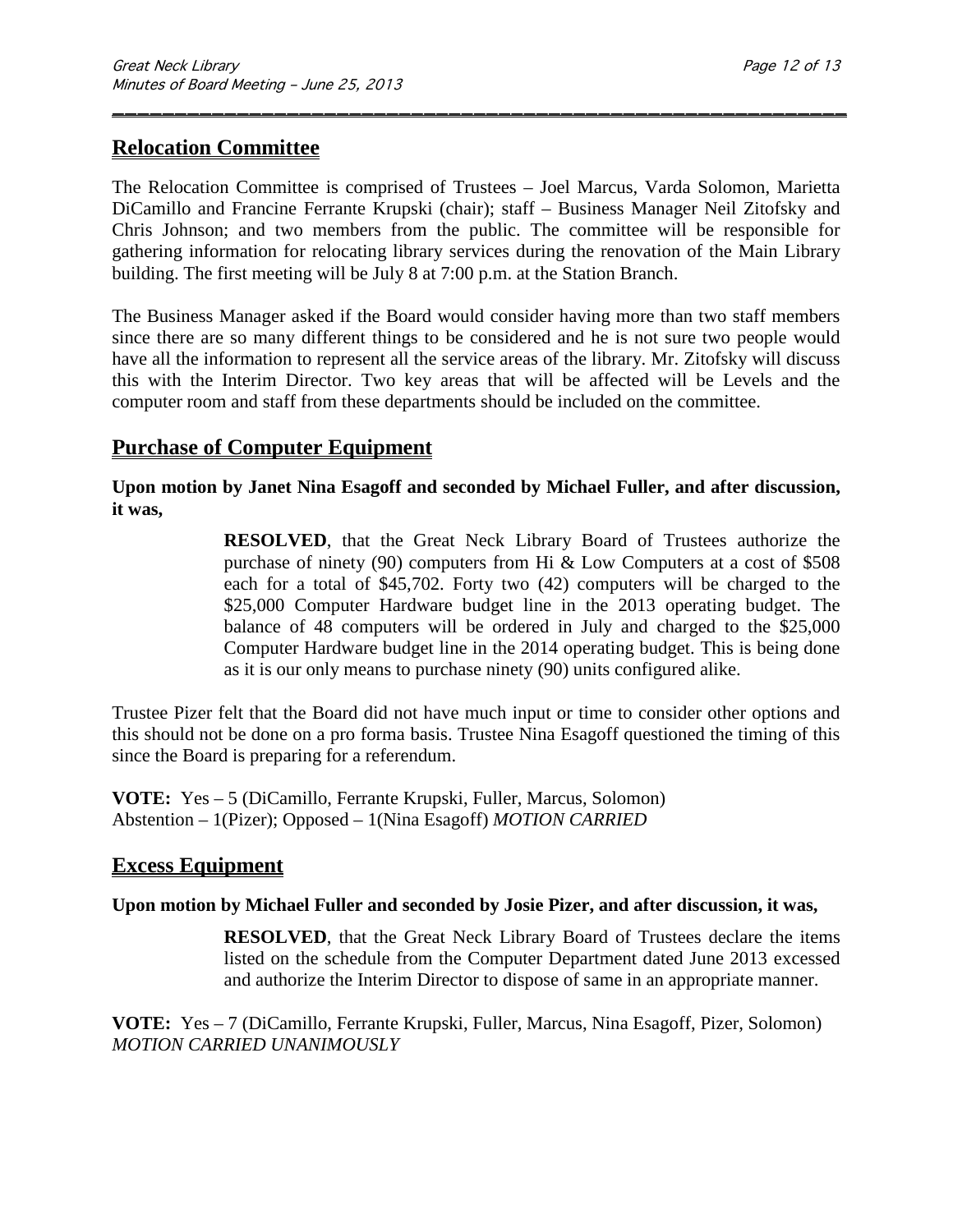## **Relocation Committee**

The Relocation Committee is comprised of Trustees – Joel Marcus, Varda Solomon, Marietta DiCamillo and Francine Ferrante Krupski (chair); staff – Business Manager Neil Zitofsky and Chris Johnson; and two members from the public. The committee will be responsible for gathering information for relocating library services during the renovation of the Main Library building. The first meeting will be July 8 at 7:00 p.m. at the Station Branch.

\_\_\_\_\_\_\_\_\_\_\_\_\_\_\_\_\_\_\_\_\_\_\_\_\_\_\_\_\_\_\_\_\_\_\_\_\_\_\_\_\_\_\_\_\_\_\_\_\_\_\_\_\_\_\_\_\_\_\_

The Business Manager asked if the Board would consider having more than two staff members since there are so many different things to be considered and he is not sure two people would have all the information to represent all the service areas of the library. Mr. Zitofsky will discuss this with the Interim Director. Two key areas that will be affected will be Levels and the computer room and staff from these departments should be included on the committee.

## **Purchase of Computer Equipment**

**Upon motion by Janet Nina Esagoff and seconded by Michael Fuller, and after discussion, it was,**

> **RESOLVED**, that the Great Neck Library Board of Trustees authorize the purchase of ninety (90) computers from Hi & Low Computers at a cost of \$508 each for a total of \$45,702. Forty two (42) computers will be charged to the \$25,000 Computer Hardware budget line in the 2013 operating budget. The balance of 48 computers will be ordered in July and charged to the \$25,000 Computer Hardware budget line in the 2014 operating budget. This is being done as it is our only means to purchase ninety (90) units configured alike.

Trustee Pizer felt that the Board did not have much input or time to consider other options and this should not be done on a pro forma basis. Trustee Nina Esagoff questioned the timing of this since the Board is preparing for a referendum.

**VOTE:** Yes – 5 (DiCamillo, Ferrante Krupski, Fuller, Marcus, Solomon) Abstention – 1(Pizer); Opposed – 1(Nina Esagoff) *MOTION CARRIED* 

### **Excess Equipment**

### **Upon motion by Michael Fuller and seconded by Josie Pizer, and after discussion, it was,**

**RESOLVED**, that the Great Neck Library Board of Trustees declare the items listed on the schedule from the Computer Department dated June 2013 excessed and authorize the Interim Director to dispose of same in an appropriate manner.

**VOTE:** Yes – 7 (DiCamillo, Ferrante Krupski, Fuller, Marcus, Nina Esagoff, Pizer, Solomon) *MOTION CARRIED UNANIMOUSLY*